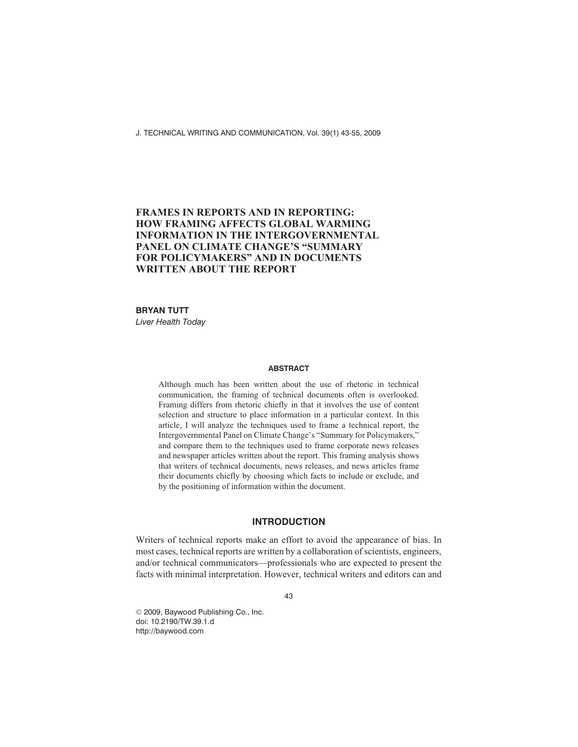J. TECHNICAL WRITING AND COMMUNICATION, Vol. 39(1) 43-55, 2009

# **FRAMES IN REPORTS AND IN REPORTING: HOW FRAMING AFFECTS GLOBAL WARMING INFORMATION IN THE INTERGOVERNMENTAL PANEL ON CLIMATE CHANGE'S "SUMMARY FOR POLICYMAKERS" AND IN DOCUMENTS WRITTEN ABOUT THE REPORT**

**BRYAN TUTT** *Liver Health Today*

### **ABSTRACT**

Although much has been written about the use of rhetoric in technical communication, the framing of technical documents often is overlooked. Framing differs from rhetoric chiefly in that it involves the use of content selection and structure to place information in a particular context. In this article, I will analyze the techniques used to frame a technical report, the Intergovernmental Panel on Climate Change's "Summary for Policymakers," and compare them to the techniques used to frame corporate news releases and newspaper articles written about the report. This framing analysis shows that writers of technical documents, news releases, and news articles frame their documents chiefly by choosing which facts to include or exclude, and by the positioning of information within the document.

## **INTRODUCTION**

Writers of technical reports make an effort to avoid the appearance of bias. In most cases, technical reports are written by a collaboration of scientists, engineers, and/or technical communicators—professionals who are expected to present the facts with minimal interpretation. However, technical writers and editors can and

43

© 2009, Baywood Publishing Co., Inc. doi: 10.2190/TW.39.1.d http://baywood.com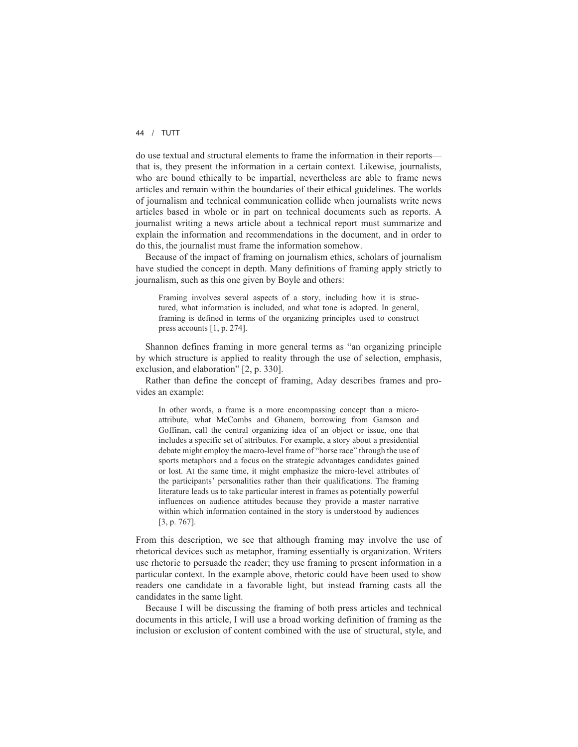do use textual and structural elements to frame the information in their reports that is, they present the information in a certain context. Likewise, journalists, who are bound ethically to be impartial, nevertheless are able to frame news articles and remain within the boundaries of their ethical guidelines. The worlds of journalism and technical communication collide when journalists write news articles based in whole or in part on technical documents such as reports. A journalist writing a news article about a technical report must summarize and explain the information and recommendations in the document, and in order to do this, the journalist must frame the information somehow.

Because of the impact of framing on journalism ethics, scholars of journalism have studied the concept in depth. Many definitions of framing apply strictly to journalism, such as this one given by Boyle and others:

Framing involves several aspects of a story, including how it is structured, what information is included, and what tone is adopted. In general, framing is defined in terms of the organizing principles used to construct press accounts [1, p. 274].

Shannon defines framing in more general terms as "an organizing principle by which structure is applied to reality through the use of selection, emphasis, exclusion, and elaboration" [2, p. 330].

Rather than define the concept of framing, Aday describes frames and provides an example:

In other words, a frame is a more encompassing concept than a microattribute, what McCombs and Ghanem, borrowing from Gamson and Goffinan, call the central organizing idea of an object or issue, one that includes a specific set of attributes. For example, a story about a presidential debate might employ the macro-level frame of "horse race" through the use of sports metaphors and a focus on the strategic advantages candidates gained or lost. At the same time, it might emphasize the micro-level attributes of the participants' personalities rather than their qualifications. The framing literature leads us to take particular interest in frames as potentially powerful influences on audience attitudes because they provide a master narrative within which information contained in the story is understood by audiences [3, p. 767].

From this description, we see that although framing may involve the use of rhetorical devices such as metaphor, framing essentially is organization. Writers use rhetoric to persuade the reader; they use framing to present information in a particular context. In the example above, rhetoric could have been used to show readers one candidate in a favorable light, but instead framing casts all the candidates in the same light.

Because I will be discussing the framing of both press articles and technical documents in this article, I will use a broad working definition of framing as the inclusion or exclusion of content combined with the use of structural, style, and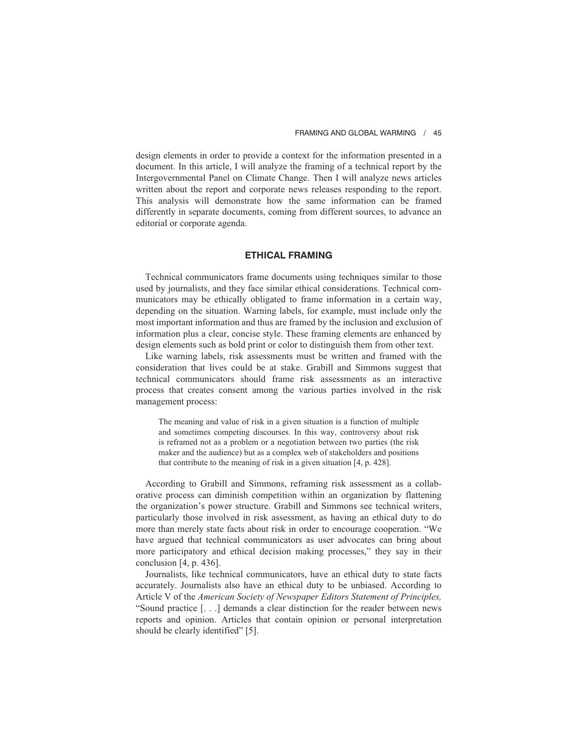design elements in order to provide a context for the information presented in a document. In this article, I will analyze the framing of a technical report by the Intergovernmental Panel on Climate Change. Then I will analyze news articles written about the report and corporate news releases responding to the report. This analysis will demonstrate how the same information can be framed differently in separate documents, coming from different sources, to advance an editorial or corporate agenda.

## **ETHICAL FRAMING**

Technical communicators frame documents using techniques similar to those used by journalists, and they face similar ethical considerations. Technical communicators may be ethically obligated to frame information in a certain way, depending on the situation. Warning labels, for example, must include only the most important information and thus are framed by the inclusion and exclusion of information plus a clear, concise style. These framing elements are enhanced by design elements such as bold print or color to distinguish them from other text.

Like warning labels, risk assessments must be written and framed with the consideration that lives could be at stake. Grabill and Simmons suggest that technical communicators should frame risk assessments as an interactive process that creates consent among the various parties involved in the risk management process:

The meaning and value of risk in a given situation is a function of multiple and sometimes competing discourses. In this way, controversy about risk is reframed not as a problem or a negotiation between two parties (the risk maker and the audience) but as a complex web of stakeholders and positions that contribute to the meaning of risk in a given situation [4, p. 428].

According to Grabill and Simmons, reframing risk assessment as a collaborative process can diminish competition within an organization by flattening the organization's power structure. Grabill and Simmons see technical writers, particularly those involved in risk assessment, as having an ethical duty to do more than merely state facts about risk in order to encourage cooperation. "We have argued that technical communicators as user advocates can bring about more participatory and ethical decision making processes," they say in their conclusion [4, p. 436].

Journalists, like technical communicators, have an ethical duty to state facts accurately. Journalists also have an ethical duty to be unbiased. According to Article V of the *American Society of Newspaper Editors Statement of Principles,* "Sound practice [. . .] demands a clear distinction for the reader between news reports and opinion. Articles that contain opinion or personal interpretation should be clearly identified" [5].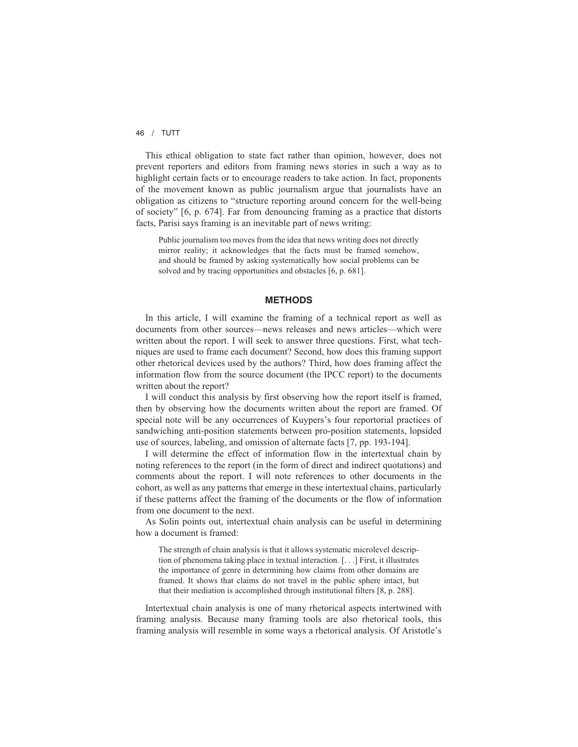This ethical obligation to state fact rather than opinion, however, does not prevent reporters and editors from framing news stories in such a way as to highlight certain facts or to encourage readers to take action. In fact, proponents of the movement known as public journalism argue that journalists have an obligation as citizens to "structure reporting around concern for the well-being of society" [6, p. 674]. Far from denouncing framing as a practice that distorts facts, Parisi says framing is an inevitable part of news writing:

Public journalism too moves from the idea that news writing does not directly mirror reality; it acknowledges that the facts must be framed somehow, and should be framed by asking systematically how social problems can be solved and by tracing opportunities and obstacles [6, p. 681].

#### **METHODS**

In this article, I will examine the framing of a technical report as well as documents from other sources—news releases and news articles—which were written about the report. I will seek to answer three questions. First, what techniques are used to frame each document? Second, how does this framing support other rhetorical devices used by the authors? Third, how does framing affect the information flow from the source document (the IPCC report) to the documents written about the report?

I will conduct this analysis by first observing how the report itself is framed, then by observing how the documents written about the report are framed. Of special note will be any occurrences of Kuypers's four reportorial practices of sandwiching anti-position statements between pro-position statements, lopsided use of sources, labeling, and omission of alternate facts [7, pp. 193-194].

I will determine the effect of information flow in the intertextual chain by noting references to the report (in the form of direct and indirect quotations) and comments about the report. I will note references to other documents in the cohort, as well as any patterns that emerge in these intertextual chains, particularly if these patterns affect the framing of the documents or the flow of information from one document to the next.

As Solin points out, intertextual chain analysis can be useful in determining how a document is framed:

The strength of chain analysis is that it allows systematic microlevel description of phenomena taking place in textual interaction. [. . .] First, it illustrates the importance of genre in determining how claims from other domains are framed. It shows that claims do not travel in the public sphere intact, but that their mediation is accomplished through institutional filters [8, p. 288].

Intertextual chain analysis is one of many rhetorical aspects intertwined with framing analysis. Because many framing tools are also rhetorical tools, this framing analysis will resemble in some ways a rhetorical analysis. Of Aristotle's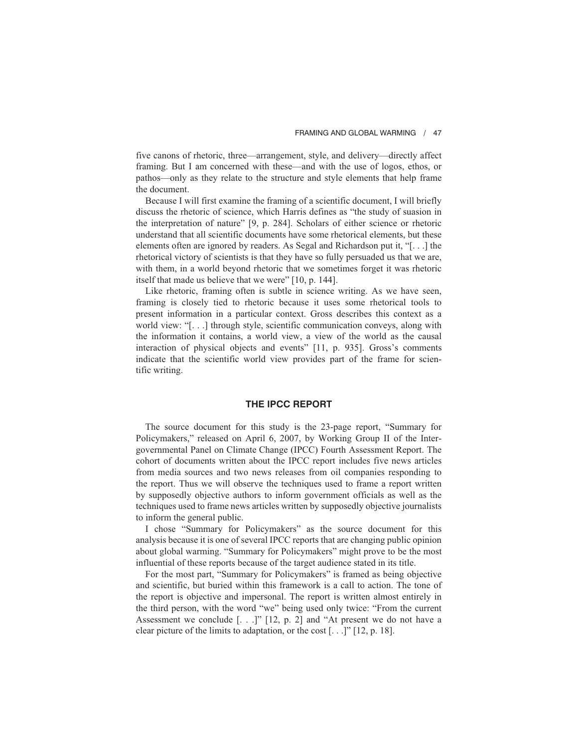five canons of rhetoric, three—arrangement, style, and delivery—directly affect framing. But I am concerned with these—and with the use of logos, ethos, or pathos—only as they relate to the structure and style elements that help frame the document.

Because I will first examine the framing of a scientific document, I will briefly discuss the rhetoric of science, which Harris defines as "the study of suasion in the interpretation of nature" [9, p. 284]. Scholars of either science or rhetoric understand that all scientific documents have some rhetorical elements, but these elements often are ignored by readers. As Segal and Richardson put it, "[. . .] the rhetorical victory of scientists is that they have so fully persuaded us that we are, with them, in a world beyond rhetoric that we sometimes forget it was rhetoric itself that made us believe that we were" [10, p. 144].

Like rhetoric, framing often is subtle in science writing. As we have seen, framing is closely tied to rhetoric because it uses some rhetorical tools to present information in a particular context. Gross describes this context as a world view: "[. . .] through style, scientific communication conveys, along with the information it contains, a world view, a view of the world as the causal interaction of physical objects and events" [11, p. 935]. Gross's comments indicate that the scientific world view provides part of the frame for scientific writing.

## **THE IPCC REPORT**

The source document for this study is the 23-page report, "Summary for Policymakers," released on April 6, 2007, by Working Group II of the Intergovernmental Panel on Climate Change (IPCC) Fourth Assessment Report. The cohort of documents written about the IPCC report includes five news articles from media sources and two news releases from oil companies responding to the report. Thus we will observe the techniques used to frame a report written by supposedly objective authors to inform government officials as well as the techniques used to frame news articles written by supposedly objective journalists to inform the general public.

I chose "Summary for Policymakers" as the source document for this analysis because it is one of several IPCC reports that are changing public opinion about global warming. "Summary for Policymakers" might prove to be the most influential of these reports because of the target audience stated in its title.

For the most part, "Summary for Policymakers" is framed as being objective and scientific, but buried within this framework is a call to action. The tone of the report is objective and impersonal. The report is written almost entirely in the third person, with the word "we" being used only twice: "From the current Assessment we conclude [. . .]" [12, p. 2] and "At present we do not have a clear picture of the limits to adaptation, or the cost [. . .]" [12, p. 18].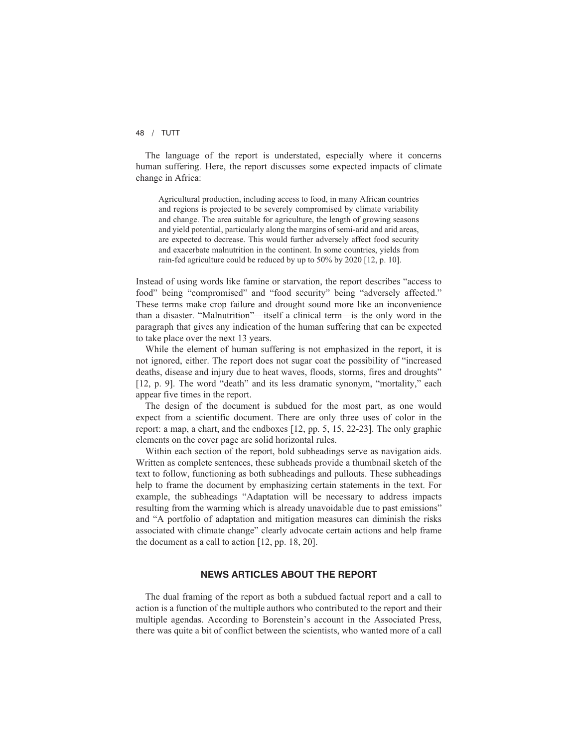The language of the report is understated, especially where it concerns human suffering. Here, the report discusses some expected impacts of climate change in Africa:

Agricultural production, including access to food, in many African countries and regions is projected to be severely compromised by climate variability and change. The area suitable for agriculture, the length of growing seasons and yield potential, particularly along the margins of semi-arid and arid areas, are expected to decrease. This would further adversely affect food security and exacerbate malnutrition in the continent. In some countries, yields from rain-fed agriculture could be reduced by up to 50% by 2020 [12, p. 10].

Instead of using words like famine or starvation, the report describes "access to food" being "compromised" and "food security" being "adversely affected." These terms make crop failure and drought sound more like an inconvenience than a disaster. "Malnutrition"—itself a clinical term—is the only word in the paragraph that gives any indication of the human suffering that can be expected to take place over the next 13 years.

While the element of human suffering is not emphasized in the report, it is not ignored, either. The report does not sugar coat the possibility of "increased deaths, disease and injury due to heat waves, floods, storms, fires and droughts" [12, p. 9]. The word "death" and its less dramatic synonym, "mortality," each appear five times in the report.

The design of the document is subdued for the most part, as one would expect from a scientific document. There are only three uses of color in the report: a map, a chart, and the endboxes [12, pp. 5, 15, 22-23]. The only graphic elements on the cover page are solid horizontal rules.

Within each section of the report, bold subheadings serve as navigation aids. Written as complete sentences, these subheads provide a thumbnail sketch of the text to follow, functioning as both subheadings and pullouts. These subheadings help to frame the document by emphasizing certain statements in the text. For example, the subheadings "Adaptation will be necessary to address impacts resulting from the warming which is already unavoidable due to past emissions" and "A portfolio of adaptation and mitigation measures can diminish the risks associated with climate change" clearly advocate certain actions and help frame the document as a call to action [12, pp. 18, 20].

# **NEWS ARTICLES ABOUT THE REPORT**

The dual framing of the report as both a subdued factual report and a call to action is a function of the multiple authors who contributed to the report and their multiple agendas. According to Borenstein's account in the Associated Press, there was quite a bit of conflict between the scientists, who wanted more of a call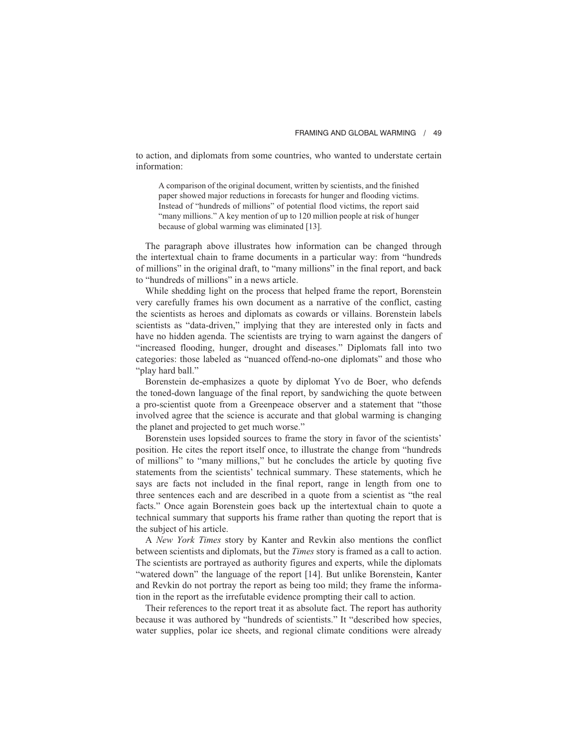to action, and diplomats from some countries, who wanted to understate certain information:

A comparison of the original document, written by scientists, and the finished paper showed major reductions in forecasts for hunger and flooding victims. Instead of "hundreds of millions" of potential flood victims, the report said "many millions." A key mention of up to 120 million people at risk of hunger because of global warming was eliminated [13].

The paragraph above illustrates how information can be changed through the intertextual chain to frame documents in a particular way: from "hundreds of millions" in the original draft, to "many millions" in the final report, and back to "hundreds of millions" in a news article.

While shedding light on the process that helped frame the report, Borenstein very carefully frames his own document as a narrative of the conflict, casting the scientists as heroes and diplomats as cowards or villains. Borenstein labels scientists as "data-driven," implying that they are interested only in facts and have no hidden agenda. The scientists are trying to warn against the dangers of "increased flooding, hunger, drought and diseases." Diplomats fall into two categories: those labeled as "nuanced offend-no-one diplomats" and those who "play hard ball."

Borenstein de-emphasizes a quote by diplomat Yvo de Boer, who defends the toned-down language of the final report, by sandwiching the quote between a pro-scientist quote from a Greenpeace observer and a statement that "those involved agree that the science is accurate and that global warming is changing the planet and projected to get much worse."

Borenstein uses lopsided sources to frame the story in favor of the scientists' position. He cites the report itself once, to illustrate the change from "hundreds of millions" to "many millions," but he concludes the article by quoting five statements from the scientists' technical summary. These statements, which he says are facts not included in the final report, range in length from one to three sentences each and are described in a quote from a scientist as "the real facts." Once again Borenstein goes back up the intertextual chain to quote a technical summary that supports his frame rather than quoting the report that is the subject of his article.

A *New York Times* story by Kanter and Revkin also mentions the conflict between scientists and diplomats, but the *Times* story is framed as a call to action. The scientists are portrayed as authority figures and experts, while the diplomats "watered down" the language of the report [14]. But unlike Borenstein, Kanter and Revkin do not portray the report as being too mild; they frame the information in the report as the irrefutable evidence prompting their call to action.

Their references to the report treat it as absolute fact. The report has authority because it was authored by "hundreds of scientists." It "described how species, water supplies, polar ice sheets, and regional climate conditions were already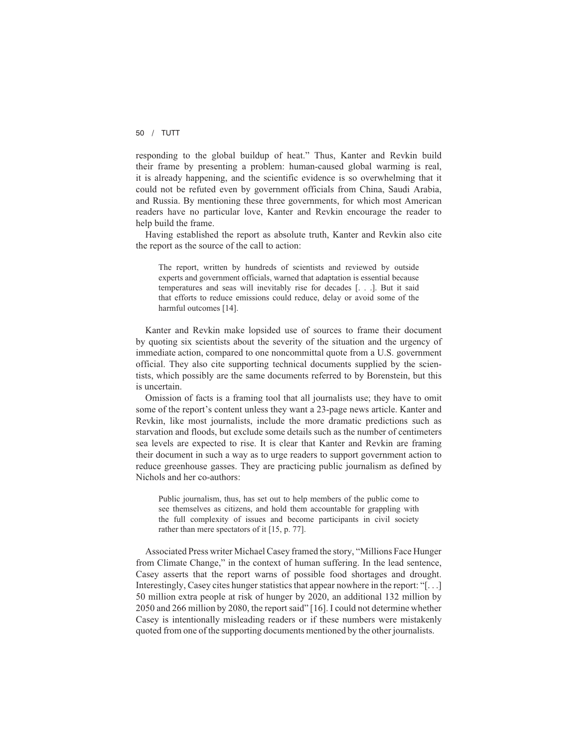responding to the global buildup of heat." Thus, Kanter and Revkin build their frame by presenting a problem: human-caused global warming is real, it is already happening, and the scientific evidence is so overwhelming that it could not be refuted even by government officials from China, Saudi Arabia, and Russia. By mentioning these three governments, for which most American readers have no particular love, Kanter and Revkin encourage the reader to help build the frame.

Having established the report as absolute truth, Kanter and Revkin also cite the report as the source of the call to action:

The report, written by hundreds of scientists and reviewed by outside experts and government officials, warned that adaptation is essential because temperatures and seas will inevitably rise for decades [. . .]. But it said that efforts to reduce emissions could reduce, delay or avoid some of the harmful outcomes [14].

Kanter and Revkin make lopsided use of sources to frame their document by quoting six scientists about the severity of the situation and the urgency of immediate action, compared to one noncommittal quote from a U.S. government official. They also cite supporting technical documents supplied by the scientists, which possibly are the same documents referred to by Borenstein, but this is uncertain.

Omission of facts is a framing tool that all journalists use; they have to omit some of the report's content unless they want a 23-page news article. Kanter and Revkin, like most journalists, include the more dramatic predictions such as starvation and floods, but exclude some details such as the number of centimeters sea levels are expected to rise. It is clear that Kanter and Revkin are framing their document in such a way as to urge readers to support government action to reduce greenhouse gasses. They are practicing public journalism as defined by Nichols and her co-authors:

Public journalism, thus, has set out to help members of the public come to see themselves as citizens, and hold them accountable for grappling with the full complexity of issues and become participants in civil society rather than mere spectators of it [15, p. 77].

Associated Press writer Michael Casey framed the story, "Millions Face Hunger from Climate Change," in the context of human suffering. In the lead sentence, Casey asserts that the report warns of possible food shortages and drought. Interestingly, Casey cites hunger statistics that appear nowhere in the report: "[. . .] 50 million extra people at risk of hunger by 2020, an additional 132 million by 2050 and 266 million by 2080, the report said" [16]. I could not determine whether Casey is intentionally misleading readers or if these numbers were mistakenly quoted from one of the supporting documents mentioned by the other journalists.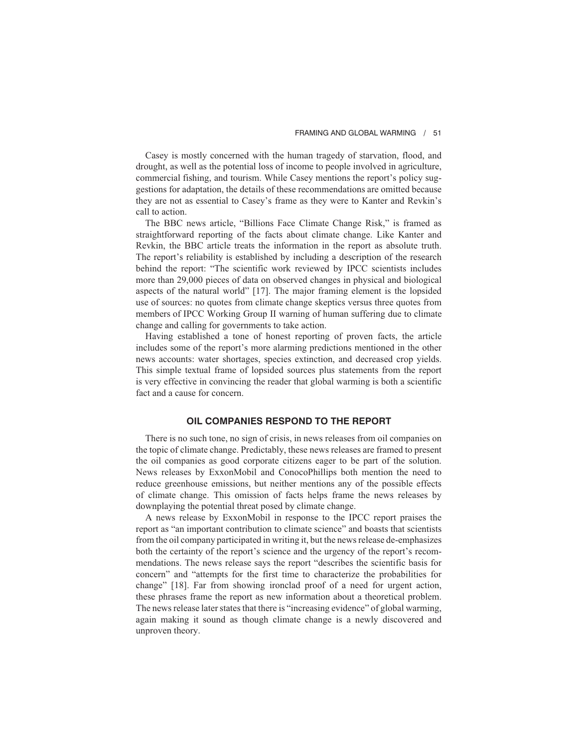Casey is mostly concerned with the human tragedy of starvation, flood, and drought, as well as the potential loss of income to people involved in agriculture, commercial fishing, and tourism. While Casey mentions the report's policy suggestions for adaptation, the details of these recommendations are omitted because they are not as essential to Casey's frame as they were to Kanter and Revkin's call to action.

The BBC news article, "Billions Face Climate Change Risk," is framed as straightforward reporting of the facts about climate change. Like Kanter and Revkin, the BBC article treats the information in the report as absolute truth. The report's reliability is established by including a description of the research behind the report: "The scientific work reviewed by IPCC scientists includes more than 29,000 pieces of data on observed changes in physical and biological aspects of the natural world" [17]. The major framing element is the lopsided use of sources: no quotes from climate change skeptics versus three quotes from members of IPCC Working Group II warning of human suffering due to climate change and calling for governments to take action.

Having established a tone of honest reporting of proven facts, the article includes some of the report's more alarming predictions mentioned in the other news accounts: water shortages, species extinction, and decreased crop yields. This simple textual frame of lopsided sources plus statements from the report is very effective in convincing the reader that global warming is both a scientific fact and a cause for concern.

# **OIL COMPANIES RESPOND TO THE REPORT**

There is no such tone, no sign of crisis, in news releases from oil companies on the topic of climate change. Predictably, these news releases are framed to present the oil companies as good corporate citizens eager to be part of the solution. News releases by ExxonMobil and ConocoPhillips both mention the need to reduce greenhouse emissions, but neither mentions any of the possible effects of climate change. This omission of facts helps frame the news releases by downplaying the potential threat posed by climate change.

A news release by ExxonMobil in response to the IPCC report praises the report as "an important contribution to climate science" and boasts that scientists from the oil company participated in writing it, but the news release de-emphasizes both the certainty of the report's science and the urgency of the report's recommendations. The news release says the report "describes the scientific basis for concern" and "attempts for the first time to characterize the probabilities for change" [18]. Far from showing ironclad proof of a need for urgent action, these phrases frame the report as new information about a theoretical problem. The news release later states that there is "increasing evidence" of global warming, again making it sound as though climate change is a newly discovered and unproven theory.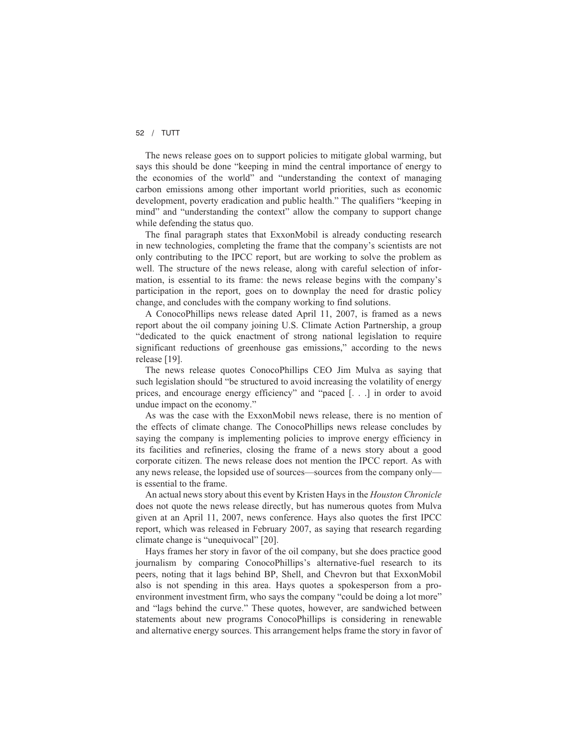The news release goes on to support policies to mitigate global warming, but says this should be done "keeping in mind the central importance of energy to the economies of the world" and "understanding the context of managing carbon emissions among other important world priorities, such as economic development, poverty eradication and public health." The qualifiers "keeping in mind" and "understanding the context" allow the company to support change while defending the status quo.

The final paragraph states that ExxonMobil is already conducting research in new technologies, completing the frame that the company's scientists are not only contributing to the IPCC report, but are working to solve the problem as well. The structure of the news release, along with careful selection of information, is essential to its frame: the news release begins with the company's participation in the report, goes on to downplay the need for drastic policy change, and concludes with the company working to find solutions.

A ConocoPhillips news release dated April 11, 2007, is framed as a news report about the oil company joining U.S. Climate Action Partnership, a group "dedicated to the quick enactment of strong national legislation to require significant reductions of greenhouse gas emissions," according to the news release [19].

The news release quotes ConocoPhillips CEO Jim Mulva as saying that such legislation should "be structured to avoid increasing the volatility of energy prices, and encourage energy efficiency" and "paced [. . .] in order to avoid undue impact on the economy."

As was the case with the ExxonMobil news release, there is no mention of the effects of climate change. The ConocoPhillips news release concludes by saying the company is implementing policies to improve energy efficiency in its facilities and refineries, closing the frame of a news story about a good corporate citizen. The news release does not mention the IPCC report. As with any news release, the lopsided use of sources—sources from the company only is essential to the frame.

An actual news story about this event by Kristen Hays in the *Houston Chronicle* does not quote the news release directly, but has numerous quotes from Mulva given at an April 11, 2007, news conference. Hays also quotes the first IPCC report, which was released in February 2007, as saying that research regarding climate change is "unequivocal" [20].

Hays frames her story in favor of the oil company, but she does practice good journalism by comparing ConocoPhillips's alternative-fuel research to its peers, noting that it lags behind BP, Shell, and Chevron but that ExxonMobil also is not spending in this area. Hays quotes a spokesperson from a proenvironment investment firm, who says the company "could be doing a lot more" and "lags behind the curve." These quotes, however, are sandwiched between statements about new programs ConocoPhillips is considering in renewable and alternative energy sources. This arrangement helps frame the story in favor of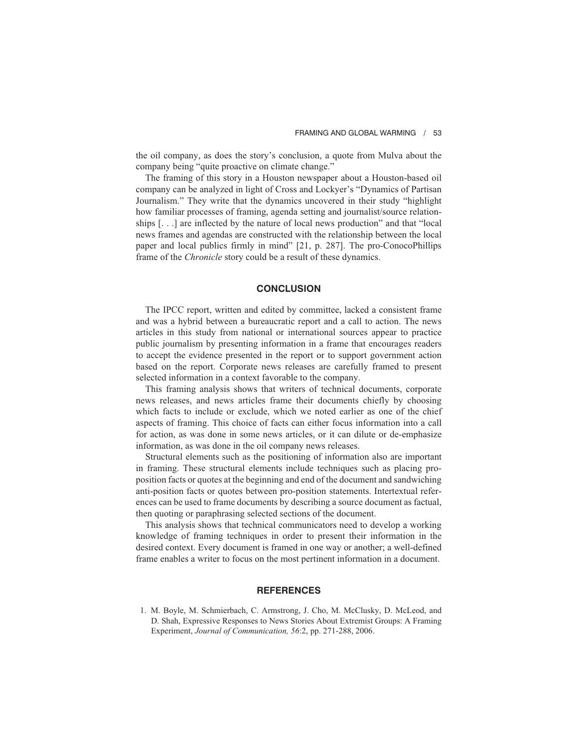the oil company, as does the story's conclusion, a quote from Mulva about the company being "quite proactive on climate change."

The framing of this story in a Houston newspaper about a Houston-based oil company can be analyzed in light of Cross and Lockyer's "Dynamics of Partisan Journalism." They write that the dynamics uncovered in their study "highlight how familiar processes of framing, agenda setting and journalist/source relationships [. . .] are inflected by the nature of local news production" and that "local news frames and agendas are constructed with the relationship between the local paper and local publics firmly in mind" [21, p. 287]. The pro-ConocoPhillips frame of the *Chronicle* story could be a result of these dynamics.

### **CONCLUSION**

The IPCC report, written and edited by committee, lacked a consistent frame and was a hybrid between a bureaucratic report and a call to action. The news articles in this study from national or international sources appear to practice public journalism by presenting information in a frame that encourages readers to accept the evidence presented in the report or to support government action based on the report. Corporate news releases are carefully framed to present selected information in a context favorable to the company.

This framing analysis shows that writers of technical documents, corporate news releases, and news articles frame their documents chiefly by choosing which facts to include or exclude, which we noted earlier as one of the chief aspects of framing. This choice of facts can either focus information into a call for action, as was done in some news articles, or it can dilute or de-emphasize information, as was done in the oil company news releases.

Structural elements such as the positioning of information also are important in framing. These structural elements include techniques such as placing proposition facts or quotes at the beginning and end of the document and sandwiching anti-position facts or quotes between pro-position statements. Intertextual references can be used to frame documents by describing a source document as factual, then quoting or paraphrasing selected sections of the document.

This analysis shows that technical communicators need to develop a working knowledge of framing techniques in order to present their information in the desired context. Every document is framed in one way or another; a well-defined frame enables a writer to focus on the most pertinent information in a document.

## **REFERENCES**

1. M. Boyle, M. Schmierbach, C. Armstrong, J. Cho, M. McClusky, D. McLeod, and D. Shah, Expressive Responses to News Stories About Extremist Groups: A Framing Experiment, *Journal of Communication, 56*:2, pp. 271-288, 2006.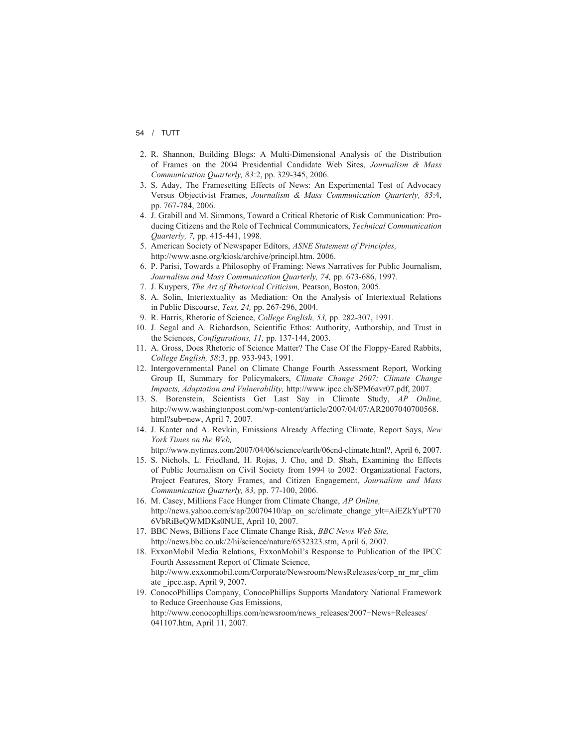- 2. R. Shannon, Building Blogs: A Multi-Dimensional Analysis of the Distribution of Frames on the 2004 Presidential Candidate Web Sites, *Journalism & Mass Communication Quarterly, 83*:2, pp. 329-345, 2006.
- 3. S. Aday, The Framesetting Effects of News: An Experimental Test of Advocacy Versus Objectivist Frames, *Journalism & Mass Communication Quarterly, 83*:4, pp. 767-784, 2006.
- 4. J. Grabill and M. Simmons, Toward a Critical Rhetoric of Risk Communication: Producing Citizens and the Role of Technical Communicators, *Technical Communication Quarterly, 7,* pp. 415-441, 1998.
- 5. American Society of Newspaper Editors, *ASNE Statement of Principles,* http://www.asne.org/kiosk/archive/principl.htm. 2006.
- 6. P. Parisi, Towards a Philosophy of Framing: News Narratives for Public Journalism, *Journalism and Mass Communication Quarterly, 74,* pp. 673-686, 1997.
- 7. J. Kuypers, *The Art of Rhetorical Criticism,* Pearson, Boston, 2005.
- 8. A. Solin, Intertextuality as Mediation: On the Analysis of Intertextual Relations in Public Discourse, *Text, 24,* pp. 267-296, 2004.
- 9. R. Harris, Rhetoric of Science, *College English, 53,* pp. 282-307, 1991.
- 10. J. Segal and A. Richardson, Scientific Ethos: Authority, Authorship, and Trust in the Sciences, *Configurations, 11,* pp. 137-144, 2003.
- 11. A. Gross, Does Rhetoric of Science Matter? The Case Of the Floppy-Eared Rabbits, *College English, 58*:3, pp. 933-943, 1991.
- 12. Intergovernmental Panel on Climate Change Fourth Assessment Report, Working Group II, Summary for Policymakers, *Climate Change 2007: Climate Change Impacts, Adaptation and Vulnerability,* http://www.ipcc.ch/SPM6avr07.pdf, 2007.
- 13. S. Borenstein, Scientists Get Last Say in Climate Study, *AP Online,* http://www.washingtonpost.com/wp-content/article/2007/04/07/AR2007040700568. html?sub=new, April 7, 2007.
- 14. J. Kanter and A. Revkin, Emissions Already Affecting Climate, Report Says, *New York Times on the Web,*
- http://www.nytimes.com/2007/04/06/science/earth/06cnd-climate.html?, April 6, 2007. 15. S. Nichols, L. Friedland, H. Rojas, J. Cho, and D. Shah, Examining the Effects of Public Journalism on Civil Society from 1994 to 2002: Organizational Factors, Project Features, Story Frames, and Citizen Engagement, *Journalism and Mass Communication Quarterly, 83,* pp. 77-100, 2006.
- 16. M. Casey, Millions Face Hunger from Climate Change, *AP Online,* http://news.yahoo.com/s/ap/20070410/ap\_on\_sc/climate\_change\_ylt=AiEZkYuPT70 6VbRiBeQWMDKs0NUE, April 10, 2007.
- 17. BBC News, Billions Face Climate Change Risk, *BBC News Web Site,* http://news.bbc.co.uk/2/hi/science/nature/6532323.stm, April 6, 2007.
- 18. ExxonMobil Media Relations, ExxonMobil's Response to Publication of the IPCC Fourth Assessment Report of Climate Science, http://www.exxonmobil.com/Corporate/Newsroom/NewsReleases/corp\_nr\_mr\_clim ate \_ipcc.asp, April 9, 2007.
- 19. ConocoPhillips Company, ConocoPhillips Supports Mandatory National Framework to Reduce Greenhouse Gas Emissions, http://www.conocophillips.com/newsroom/news\_releases/2007+News+Releases/ 041107.htm, April 11, 2007.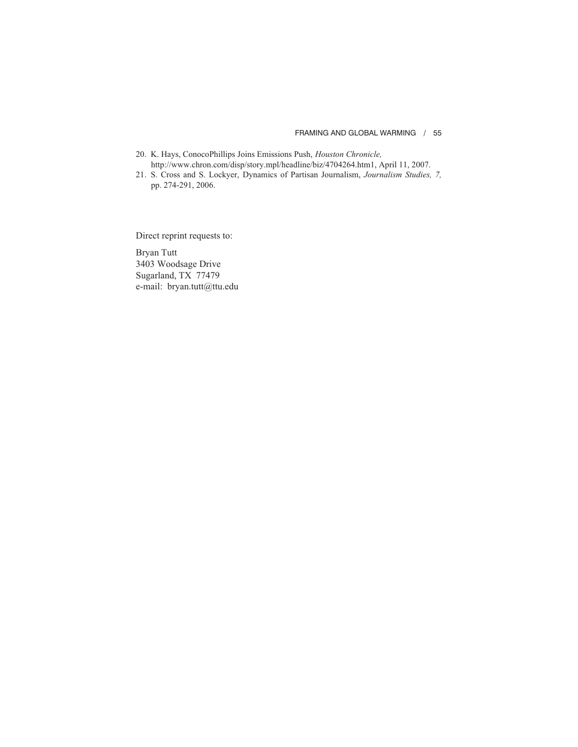## FRAMING AND GLOBAL WARMING / 55

- 20. K. Hays, ConocoPhillips Joins Emissions Push, *Houston Chronicle,* http://www.chron.com/disp/story.mpl/headline/biz/4704264.htm1, April 11, 2007.
- 21. S. Cross and S. Lockyer, Dynamics of Partisan Journalism, *Journalism Studies, 7,* pp. 274-291, 2006.

Direct reprint requests to:

Bryan Tutt 3403 Woodsage Drive Sugarland, TX 77479 e-mail: bryan.tutt@ttu.edu